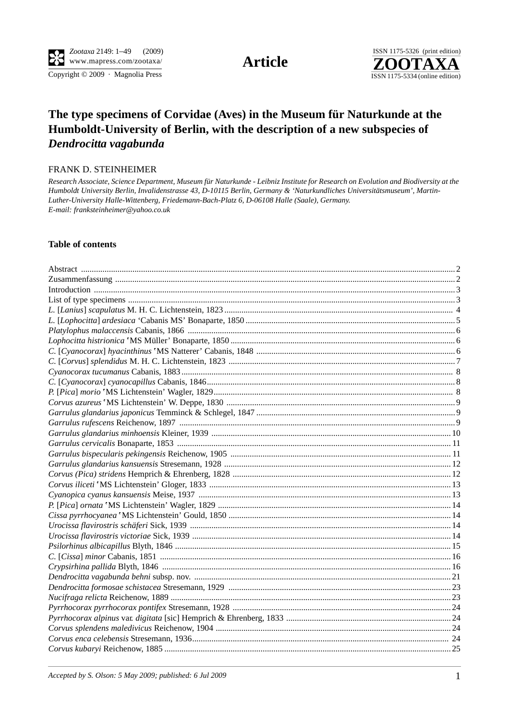



# **The type specimens of Corvidae (Aves) in the Museum für Naturkunde at the Humboldt-University of Berlin, with the description of a new subspecies of**  *Dendrocitta vagabunda*

#### FRANK D. STEINHEIMER

*Research Associate, Science Department, Museum für Naturkunde - Leibniz Institute for Research on Evolution and Biodiversity at the Humboldt University Berlin, Invalidenstrasse 43, D-10115 Berlin, Germany & 'Naturkundliches Universitätsmuseum', Martin-Luther-University Halle-Wittenberg, Friedemann-Bach-Platz 6, D-06108 Halle (Saale), Germany. E-mail: franksteinheimer@yahoo.co.uk*

#### **Table of contents**